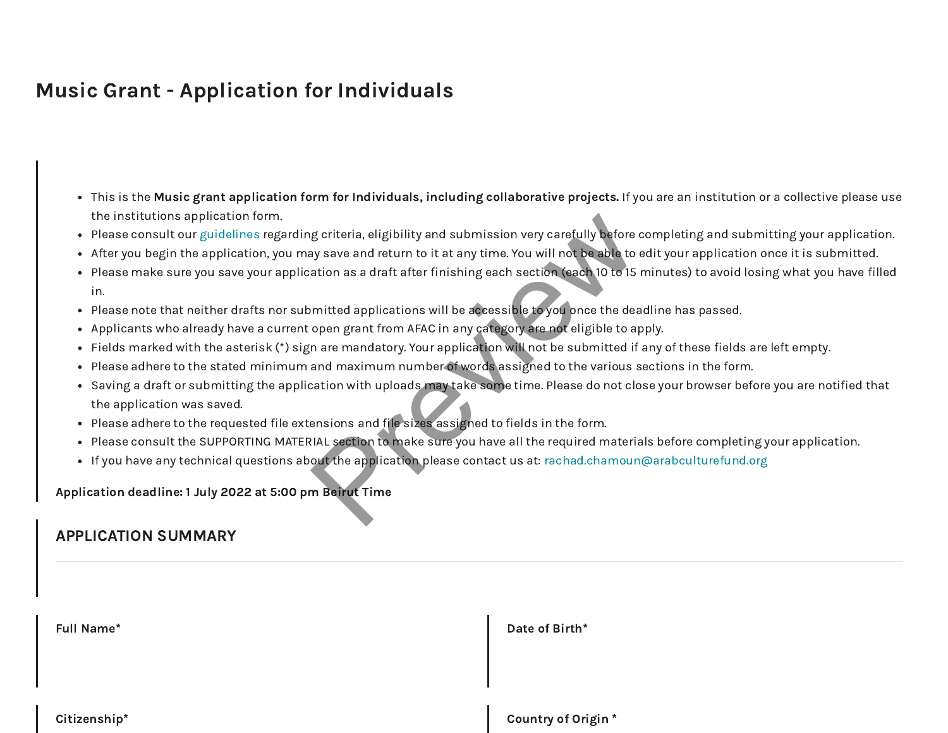# Music Grant - Application for Individuals

- This is the Music grant application form for Individuals, including collaborative projects. If you are an institution or a collective please use the institutions application form.
- Please consult our [guidelines](https://www.arabculturefund.org/Programs/15) regarding criteria, eligibility and submission very carefully before completing and submitting your application.
- After you begin the application, you may save and return to it at any time. You will not be able to edit your application once it is submitted.
- Please make sure you save your application as a draft after finishing each section (each 10 to 15 minutes) to avoid losing what you have filled in. g criteria, eligibility and submission very carefully before and say save and return to it at any time. You will not be able to ation as a draft after finishing each section (each 10 to 15 mitted applications will be acces
- Please note that neither drafts nor submitted applications will be accessible to you once the deadline has passed.
- Applicants who already have a current open grant from AFAC in any category are not eligible to apply.
- Fields marked with the asterisk (\*) sign are mandatory. Your application will not be submitted if any of these fields are left empty.
- Please adhere to the stated minimum and maximum number of words assigned to the various sections in the form.
- Saving a draft or submitting the application with uploads may take some time. Please do not close your browser before you are notified that the application was saved.
- Please adhere to the requested file extensions and file sizes assigned to fields in the form.
- Please consult the SUPPORTING MATERIAL section to make sure you have all the required materials before completing your application.
- If you have any technical questions about the application please contact us at: [rachad.chamoun@arabculturefund.org](mailto:rachad.chamoun@arabculturefund.org)

Application deadline: 1 July 2022 at 5:00 pm Beirut Time

### APPLICATION SUMMARY

| <b>Full Name*</b> | Date of Birth*            |
|-------------------|---------------------------|
|                   |                           |
| Citizenship*      | <b>Country of Origin*</b> |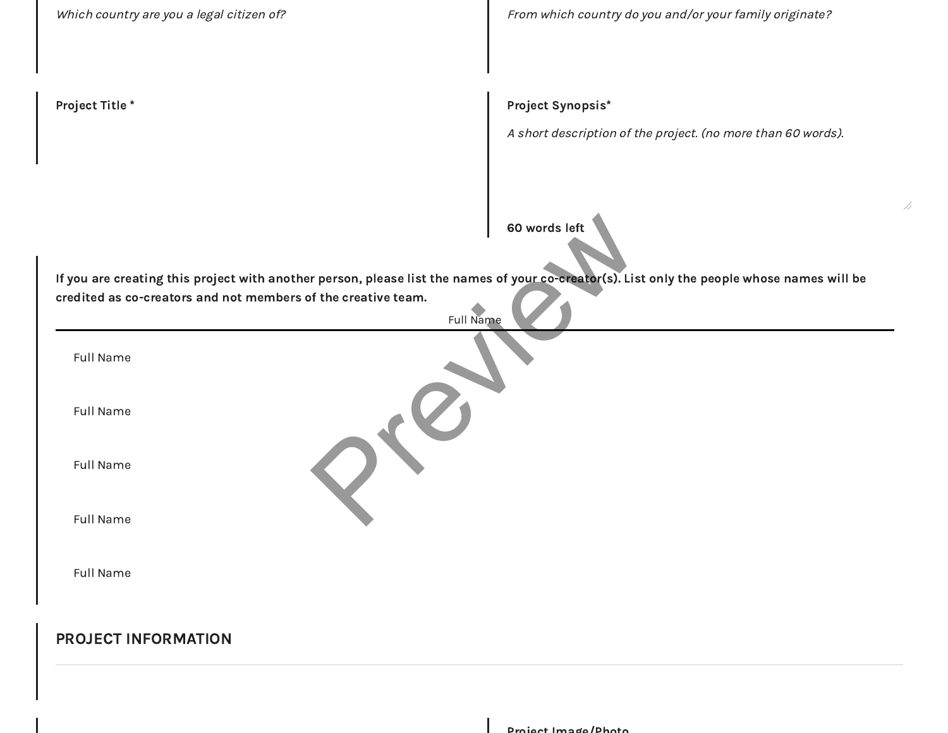| Which country are you a legal citizen of?                                                                                                                                                                    | From which country do you and/or your family originate?                           |
|--------------------------------------------------------------------------------------------------------------------------------------------------------------------------------------------------------------|-----------------------------------------------------------------------------------|
| Project Title*                                                                                                                                                                                               | Project Synopsis*<br>A short description of the project. (no more than 60 words). |
| If you are creating this project with another person, please list the names of your co-creator(s). List only the people whose names will be<br>credited as co-creators and not members of the creative team. | 60 words left                                                                     |
| <b>Full Name</b><br>Full Name                                                                                                                                                                                |                                                                                   |
| Full Name                                                                                                                                                                                                    |                                                                                   |
| Full Name                                                                                                                                                                                                    |                                                                                   |
| Full Name                                                                                                                                                                                                    |                                                                                   |
| Full Name                                                                                                                                                                                                    |                                                                                   |
| <b>PROJECT INFORMATION</b>                                                                                                                                                                                   |                                                                                   |
|                                                                                                                                                                                                              | Project Image/Photo                                                               |

4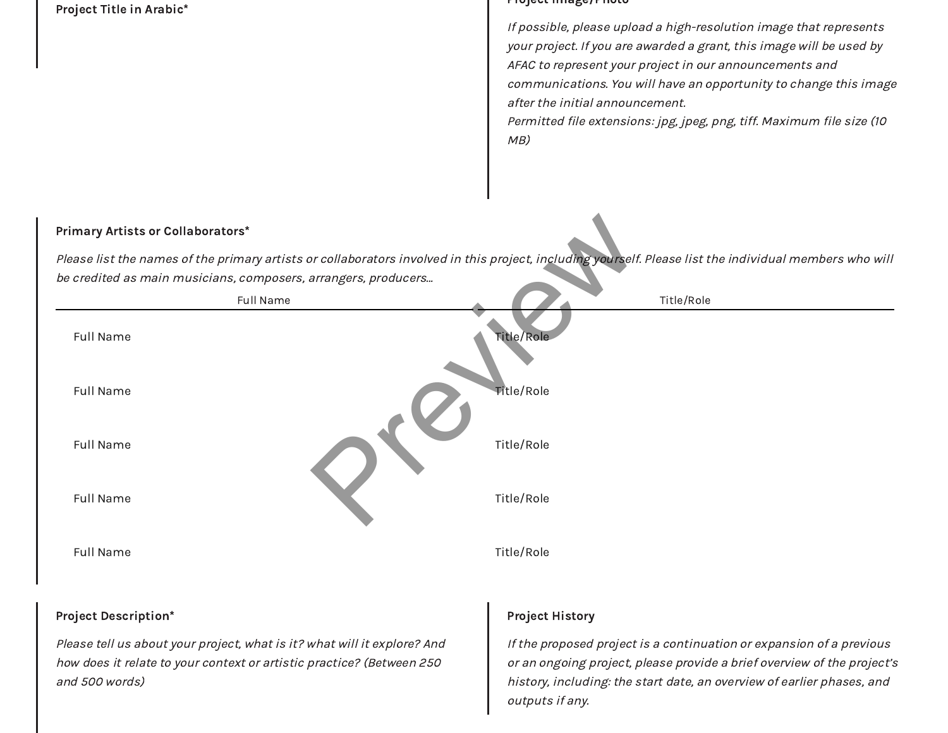

Please tell us about your project, what is it? what will it explore? And how does it relate to your context or artistic practice? (Between 250 and 500 words)

### Project History

If the proposed project is a continuation or expansion of a previous or an ongoing project, please provide a brief overview of the project's history, including: the start date, an overview of earlier phases, and outputs if any.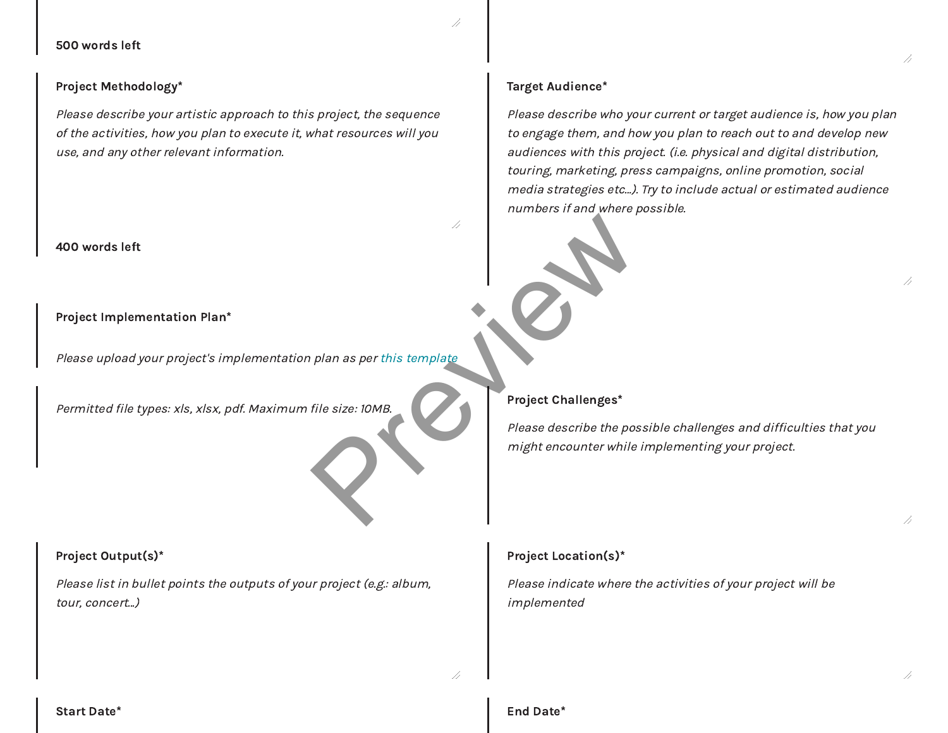500 words left

#### Project Methodology\*

Please describe your artistic approach to this project, the sequence of the activities, how you plan to execute it, what resources will you use, and any other relevant information.

#### 400 words left

#### Project Implementation Plan\*

Please upload your project's implementation plan as per this template

Permitted file types: xls, xlsx, pdf. Maximum file size: 10MB.

#### Project Output(s)\*

Please list in bullet points the outputs of your project (e.g.: album, tour, concert...)

### Target Audience\*

Please describe who your current or target audience is, how you plan to engage them, and how you plan to reach out to and develop new audiences with this project. (i.e. physical and digital distribution, touring, marketing, press campaigns, online promotion, social media strategies etc…). Try to include actual or estimated audience numbers if and where possible.

### Project Challenges\*

Please describe the possible challenges and difficulties that you might encounter while implementing your project. plan as per this template<br>
File size: IOMB.<br>
Project Challenges\*<br>
Please describe the post might encounter while

#### Project Location(s)\*

Please indicate where the activities of your project will be implemented

//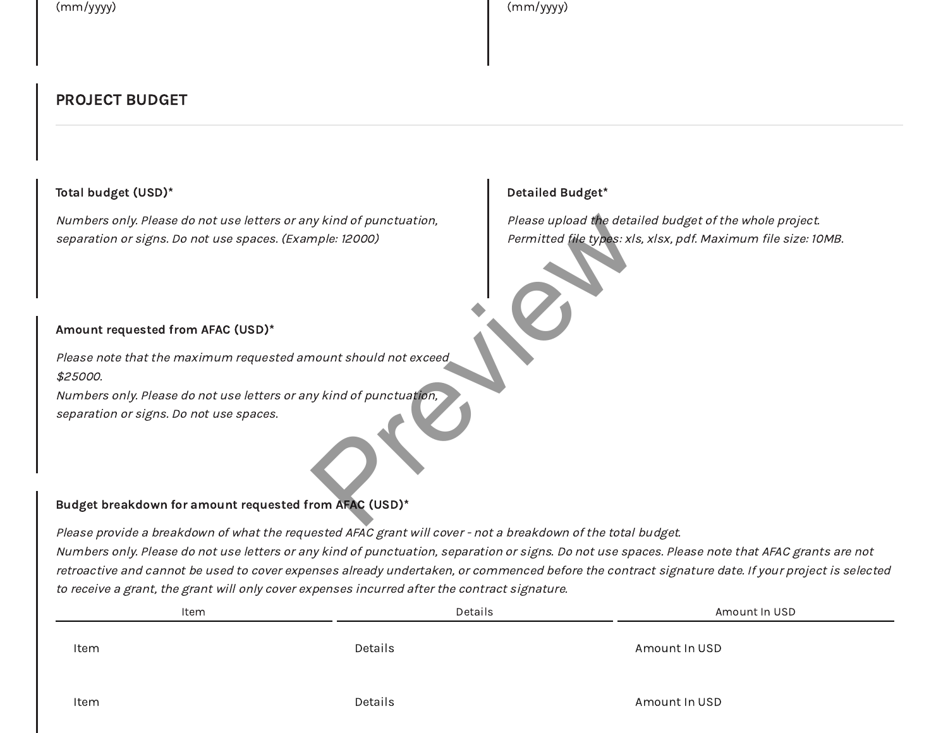Detailed Budget\*

### PROJECT BUDGET

### Total budget (USD)\*

Numbers only. Please do not use letters or any kind of punctuation, separation or signs. Do not use spaces. (Example: 12000)

### Amount requested from AFAC (USD)\*

Please note that the maximum requested amount should not exceed \$25000. hy kind of punctuation,<br>
please upload the detain<br>
Permitted file types: xls<br>
Permitted file types: xls<br>
Permitted file types: xls<br>
Permitted file types: xls<br>
Permitted file types: xls<br>
Permitted file types: xls<br>
Permitted

Numbers only. Please do not use letters or any kind of punctuation, separation or signs. Do not use spaces.

#### Budget breakdown for amount requested from AFAC (USD)\*

Please provide a breakdown of what the requested AFAC grant will cover - not a breakdown of the total budget. Numbers only. Please do not use letters or any kind of punctuation, separation or signs. Do not use spaces. Please note that AFAC grants are not retroactive and cannot be used to cover expenses already undertaken, or commenced before the contract signature date. If your project is selected to receive a grant, the grant will only cover expenses incurred after the contract signature.

| Item | Details | Amount In USD |
|------|---------|---------------|
| Item | Details | Amount In USD |
|      |         |               |

Please upload the detailed budget of the whole project. Permitted file types: xls, xlsx, pdf. Maximum file size: 10MB.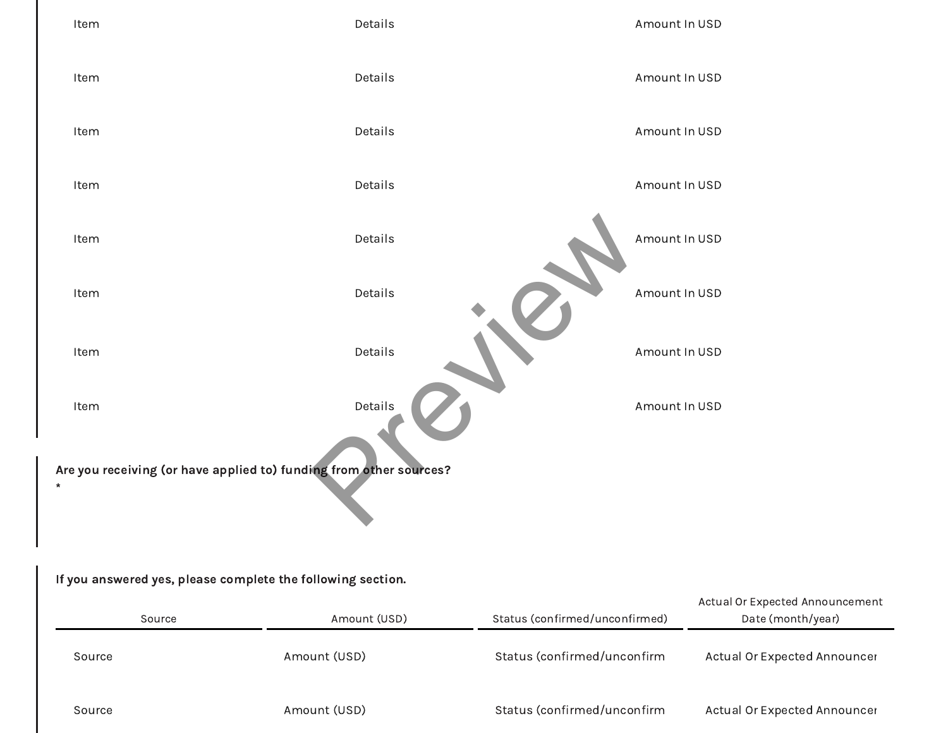

| Source | Amount (USD) | Status (confirmed/unconfirmed) | Actual Of Expected Announcement<br>Date (month/year) |
|--------|--------------|--------------------------------|------------------------------------------------------|
| Source | Amount (USD) | Status (confirmed/unconfirm    | Actual Or Expected Announcer                         |
| Source | Amount (USD) | Status (confirmed/unconfirm    | Actual Or Expected Announcer                         |

 $\overline{\phantom{0}}$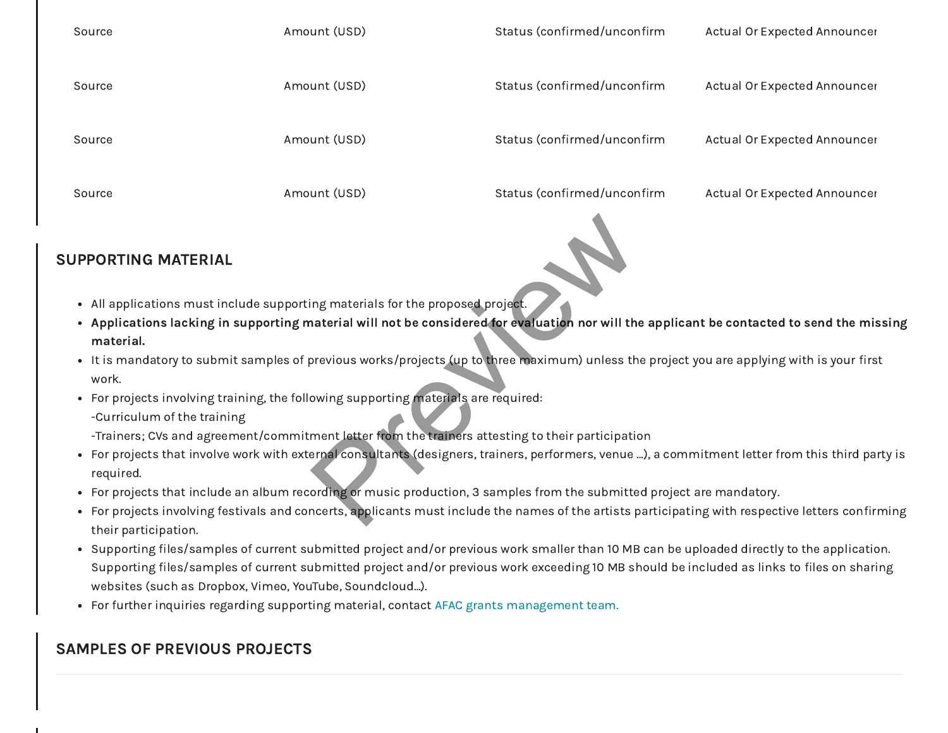| Source | Amount (USD) | Status (confirmed/unconfirm | Actual Or Expected Announcer |
|--------|--------------|-----------------------------|------------------------------|
| Source | Amount (USD) | Status (confirmed/unconfirm | Actual Or Expected Announcer |
| Source | Amount (USD) | Status (confirmed/unconfirm | Actual Or Expected Announcer |
| Source | Amount (USD) | Status (confirmed/unconfirm | Actual Or Expected Announcer |

### SUPPORTING MATERIAL

- All applications must include supporting materials for the proposed project.
- Applications lacking in supporting material will not be considered for evaluation nor will the applicant be contacted to send the missing material.
- It is mandatory to submit samples of previous works/projects (up to three maximum) unless the project you are applying with is your first work.
- For projects involving training, the following supporting materials are required: -Curriculum of the training
	- -Trainers; CVs and agreement/commitment letter from the trainers attesting to their participation
- For projects that involve work with external consultants (designers, trainers, performers, venue …), a commitment letter from this third party is required. Ing materials for the proposed project.<br>
Inaterial will not be considered for evaluation nor will the<br>
Dispute of the maximum consideration of which<br>
Dispute of the maximum consideration<br>
In the submitted of the maximum co
- For projects that include an album recording or music production, 3 samples from the submitted project are mandatory.
- For projects involving festivals and concerts, applicants must include the names of the artists participating with respective letters confirming their participation.
- Supporting files/samples of current submitted project and/or previous work smaller than 10 MB can be uploaded directly to the application. Supporting files/samples of current submitted project and/or previous work exceeding 10 MB should be included as links to files on sharing websites (such as Dropbox, Vimeo, YouTube, Soundcloud…).
- For further inquiries regarding supporting material, contact [AFAC grants management team.](mailto:soleil.gharbieh@arabculturefund.org)

## SAMPLES OF PREVIOUS PROJECTS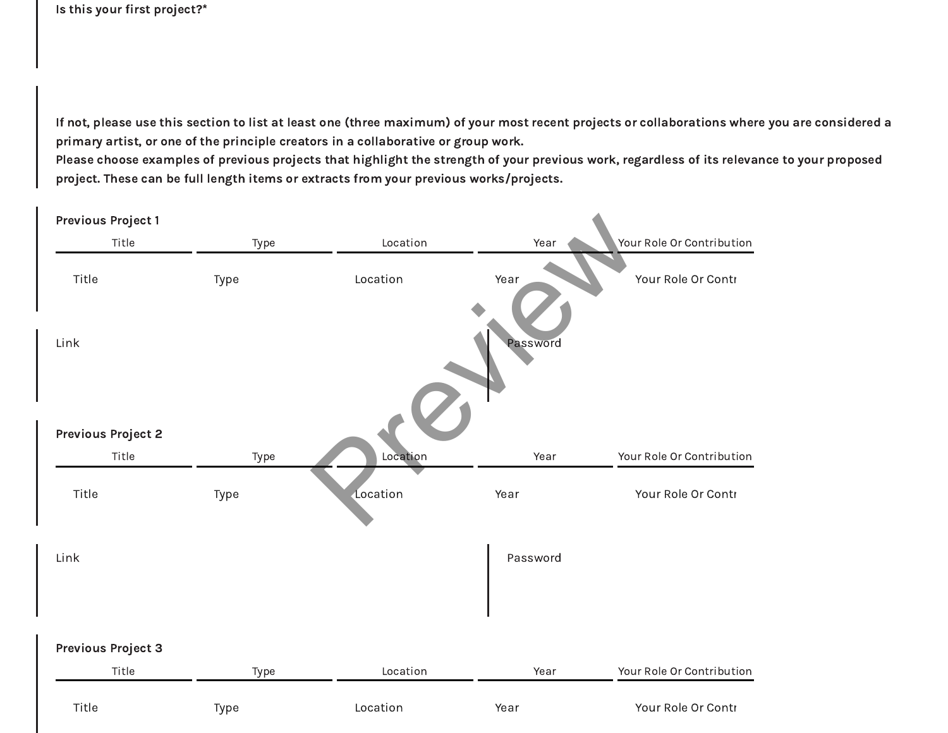Is this your first project?\*

If not, please use this section to list at least one (three maximum) of your most recent projects or collaborations where you are considered a primary artist, or one of the principle creators in a collaborative or group work.

Please choose examples of previous projects that highlight the strength of your previous work, regardless of its relevance to your proposed project. These can be full length items or extracts from your previous works/projects.

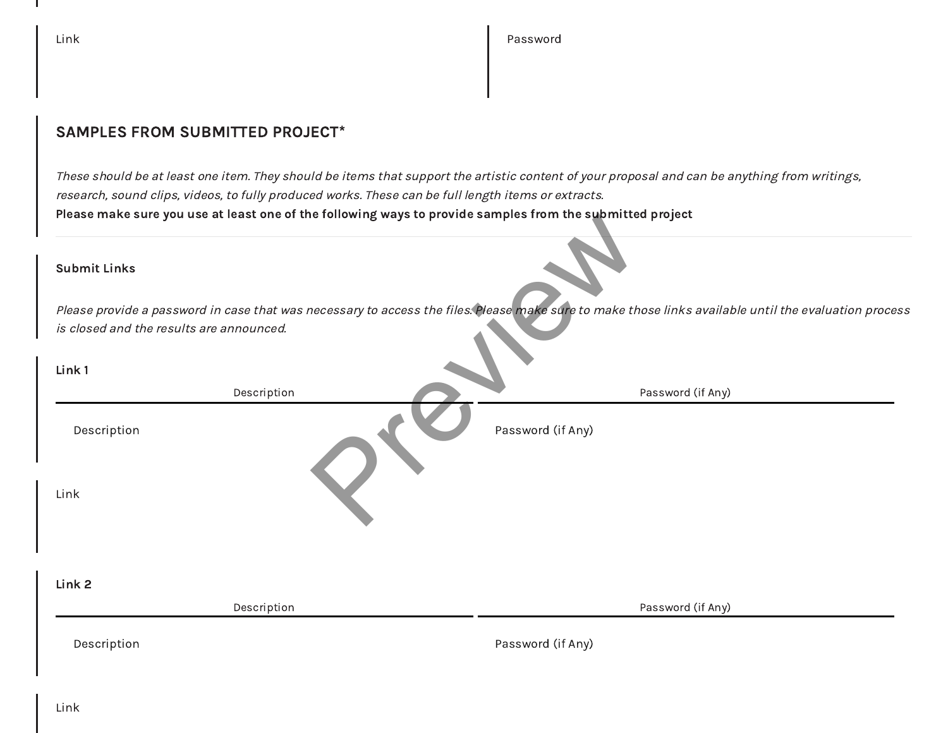$\blacksquare$ 

### SAMPLES FROM SUBMITTED PROJECT\*

These should be at least one item. They should be items that support the artistic content of your proposal and can be anything from writings, research, sound clips, videos, to fully produced works. These can be full length items or extracts. Please make sure you use at least one of the following ways to provide samples from the submitted project

| Please make sure you use at least one of the following ways to provide samples from the supmitted project |                                                                                                                                                       |
|-----------------------------------------------------------------------------------------------------------|-------------------------------------------------------------------------------------------------------------------------------------------------------|
| <b>Submit Links</b>                                                                                       |                                                                                                                                                       |
|                                                                                                           | Please provide a password in case that was necessary to access the files. Please make sure to make those links available until the evaluation process |
| is closed and the results are announced.                                                                  |                                                                                                                                                       |
| Link 1                                                                                                    |                                                                                                                                                       |
| Description                                                                                               | Password (if Any)                                                                                                                                     |
| Description                                                                                               | Password (if Any)                                                                                                                                     |
| Link                                                                                                      |                                                                                                                                                       |
| Link 2<br>Description                                                                                     | Password (if Any)                                                                                                                                     |
| Description                                                                                               | Password (if Any)                                                                                                                                     |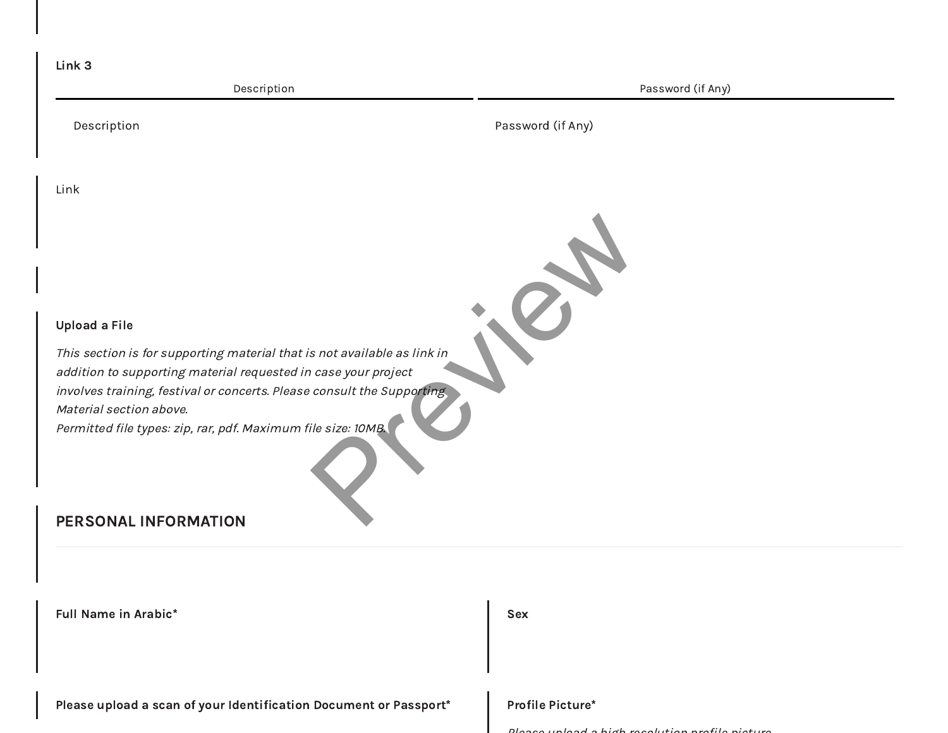| Link 3                                                                                                                                                                                                                                                                                                           |                   |
|------------------------------------------------------------------------------------------------------------------------------------------------------------------------------------------------------------------------------------------------------------------------------------------------------------------|-------------------|
| Description                                                                                                                                                                                                                                                                                                      | Password (if Any) |
| Description                                                                                                                                                                                                                                                                                                      | Password (if Any) |
| Link                                                                                                                                                                                                                                                                                                             |                   |
|                                                                                                                                                                                                                                                                                                                  |                   |
| <b>Upload a File</b>                                                                                                                                                                                                                                                                                             |                   |
| This section is for supporting material that is not available as link in<br>addition to supporting material requested in case your project<br>involves training, festival or concerts. Please consult the Supporting<br>Material section above.<br>Permitted file types: zip, rar, pdf. Maximum file size: 10MB. |                   |
| PERSONAL INFORMATION                                                                                                                                                                                                                                                                                             |                   |
|                                                                                                                                                                                                                                                                                                                  |                   |
| <b>Full Name in Arabic*</b>                                                                                                                                                                                                                                                                                      | <b>Sex</b>        |

Please upload a scan of your Identification Document or Passport\* Profile Picture\*

Please upload <sup>a</sup> high resolution profile <sup>p</sup>icture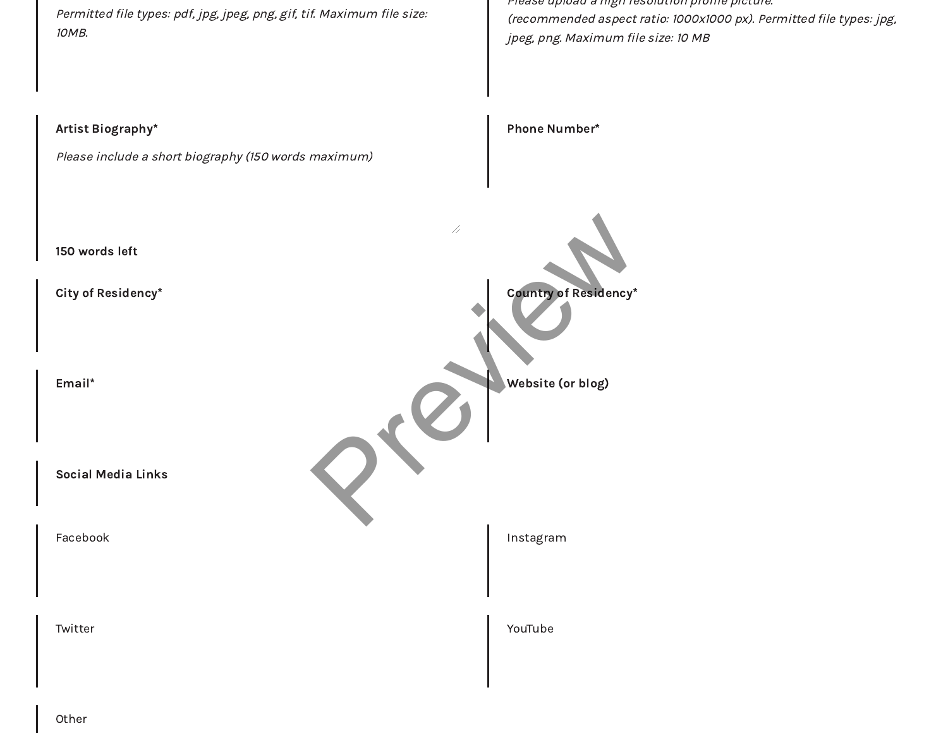Permitted file types: pdf, jpg, jpeg, png, gif, tif. Maximum file size: 10MB. Please upload a high resolution profile picture. (recommended aspect ratio: 1000x1000 px). Permitted file types: jpg, jpeg, png. Maximum file size: 10 MB Artist Biography\* Please include a short biography (150 words maximum) 150 words left Phone Number\* City of Residency\* Country of Residency\* Email\* Website (or blog) Social Media Links Facebook **Instagram** Twitter **YouTube** Country of Residency\*

Other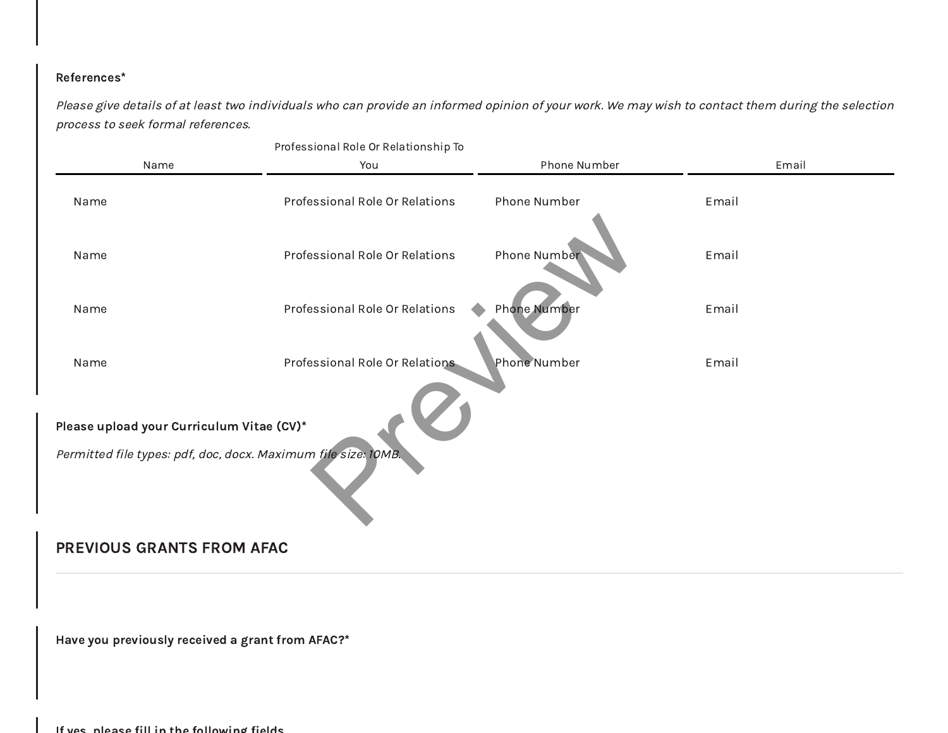### References\*

Please give details of at least two individuals who can provide an informed opinion of your work. We may wish to contact them during the selection process to seek formal references.

| You<br>Professional Role Or Relations<br>Professional Role Or Relations                                     | Phone Number<br>Phone Number | Email<br>Email |  |  |
|-------------------------------------------------------------------------------------------------------------|------------------------------|----------------|--|--|
|                                                                                                             |                              |                |  |  |
|                                                                                                             |                              |                |  |  |
|                                                                                                             | Phone Number                 | Email          |  |  |
| Professional Role Or Relations                                                                              | Phone Number                 | Email          |  |  |
| Professional Role Or Relations                                                                              | Phone Number                 | Email          |  |  |
| Please upload your Curriculum Vitae (CV)*<br>Permitted file types: pdf, doc, docx. Maximum file size: 10MB. |                              |                |  |  |
|                                                                                                             |                              |                |  |  |
| Have you previously received a grant from AFAC?*<br>If yes nlease fill in the following fields              |                              |                |  |  |
|                                                                                                             | PREVIOUS GRANTS FROM AFAC    |                |  |  |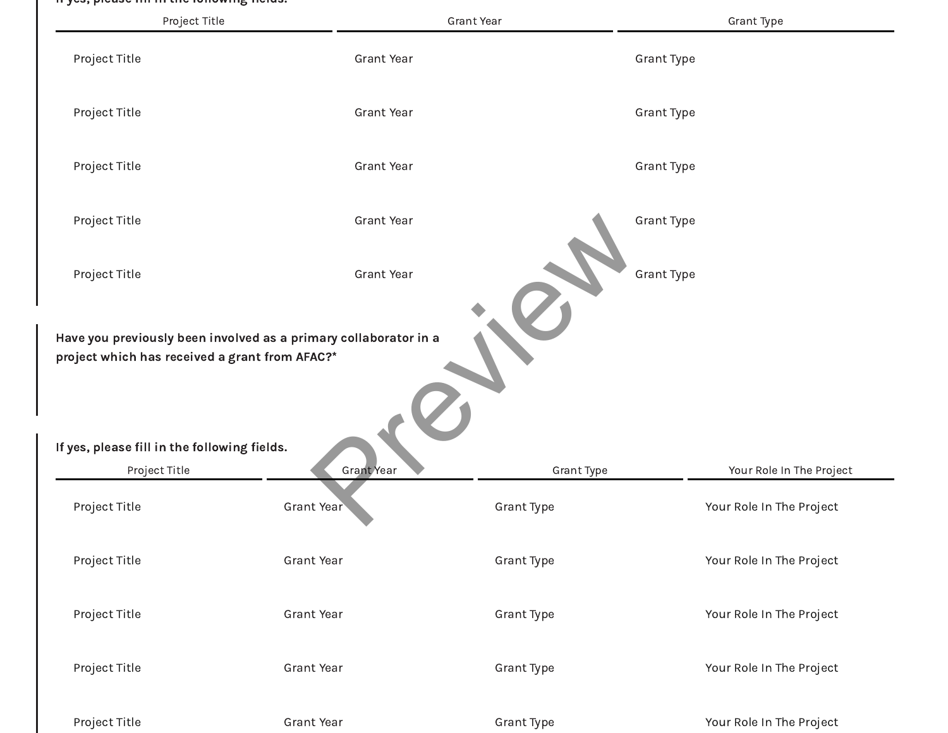#### If yes, please fill in the following fields.

| Project Title                                                 |                   | <b>Grant Year</b> | Grant Type               |
|---------------------------------------------------------------|-------------------|-------------------|--------------------------|
| Project Title                                                 | <b>Grant Year</b> |                   | Grant Type               |
| Project Title                                                 | <b>Grant Year</b> |                   | Grant Type               |
| Project Title                                                 | <b>Grant Year</b> |                   | Grant Type               |
| Project Title                                                 | <b>Grant Year</b> |                   | Grant Type               |
| Project Title                                                 | <b>Grant Year</b> |                   | Grant Type               |
| If yes, please fill in the following fields.<br>Project Title | Grant Year        | Grant Type        | Your Role In The Project |
| Project Title                                                 | <b>Grant Year</b> | Grant Type        | Your Role In The Project |
| Project Title                                                 | Grant Year        | <b>Grant Type</b> | Your Role In The Project |
| Project Title                                                 | <b>Grant Year</b> | Grant Type        | Your Role In The Project |
| Project Title                                                 | Grant Year        | Grant Type        | Your Role In The Project |
| Project Title                                                 | Grant Year        | Grant Type        | Your Role In The Project |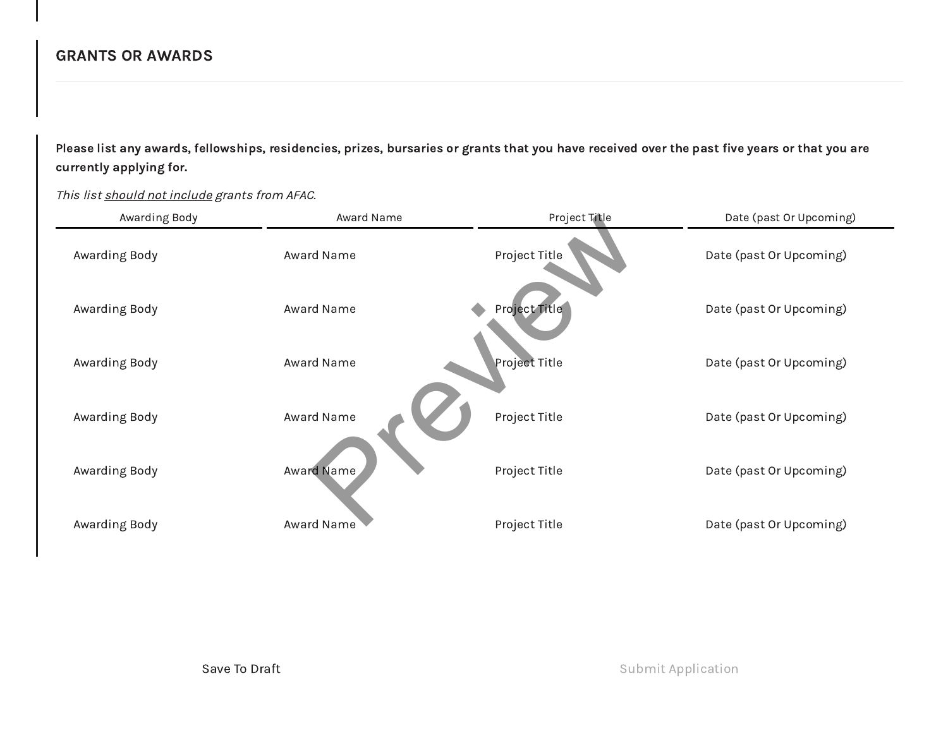### GRANTS OR AWARDS

Please list any awards, fellowships, residencies, prizes, bursaries or grants that you have received over the past five years or that you are currently applying for.

This list should not include grants from AFAC. Awarding Body **Award Name** Award Name Project Title **Providence Awarding Date (past Or Upcoming)** 

| Awarding Body | Award Name        | Project Title        | Date (past Or Upcoming) |
|---------------|-------------------|----------------------|-------------------------|
| Awarding Body | Award Name        | Project Title        | Date (past Or Upcoming) |
| Awarding Body | Award Name        | Project Title        | Date (past Or Upcoming) |
| Awarding Body | Award Name        | <b>Project Title</b> | Date (past Or Upcoming) |
| Awarding Body | Award Name        | Project Title        | Date (past Or Upcoming) |
| Awarding Body | <b>Award Name</b> | Project Title        | Date (past Or Upcoming) |
| Awarding Body | Award Name        | Project Title        | Date (past Or Upcoming) |